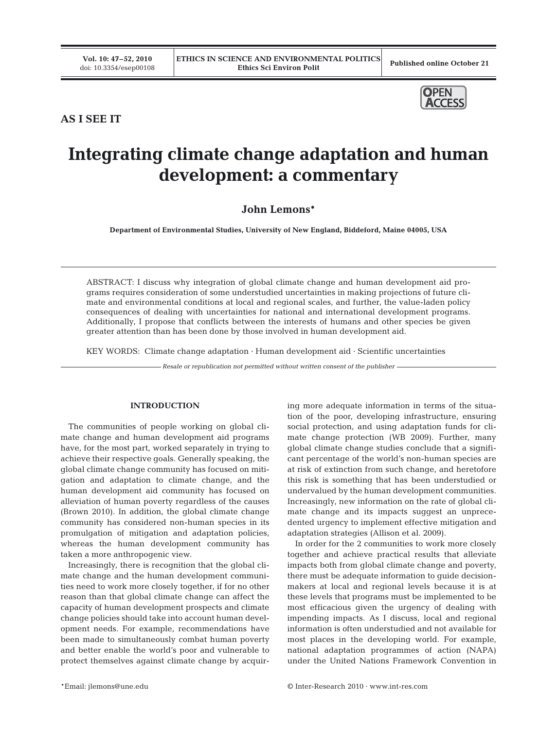

## **AS I SEE IT**

# **Integrating climate change adaptation and human development: a commentary**

# **John Lemons\***

**Department of Environmental Studies, University of New England, Biddeford, Maine 04005, USA**

ABSTRACT: I discuss why integration of global climate change and human development aid programs requires consideration of some understudied uncertainties in making projections of future climate and environmental conditions at local and regional scales, and further, the value-laden policy consequences of dealing with uncertainties for national and international development programs. Additionally, I propose that conflicts between the interests of humans and other species be given greater attention than has been done by those involved in human development aid.

KEY WORDS: Climate change adaptation  $\cdot$  Human development aid  $\cdot$  Scientific uncertainties

*Resale or republication not permitted without written consent of the publisher*

#### **INTRODUCTION**

The communities of people working on global climate change and human development aid programs have, for the most part, worked separately in trying to achieve their respective goals. Generally speaking, the global climate change community has focused on mitigation and adaptation to climate change, and the human development aid community has focused on alleviation of human poverty regardless of the causes (Brown 2010). In addition, the global climate change community has considered non-human species in its promulgation of mitigation and adaptation policies, whereas the human development community has taken a more anthropogenic view.

Increasingly, there is recognition that the global climate change and the human development communities need to work more closely together, if for no other reason than that global climate change can affect the capacity of human development prospects and climate change policies should take into account human development needs. For example, recommendations have been made to simultaneously combat human poverty and better enable the world's poor and vulnerable to protect themselves against climate change by acquiring more adequate information in terms of the situation of the poor, developing infrastructure, ensuring social protection, and using adaptation funds for climate change protection (WB 2009). Further, many global climate change studies conclude that a significant percentage of the world's non-human species are at risk of extinction from such change, and heretofore this risk is something that has been understudied or undervalued by the human development communities. Increasingly, new information on the rate of global climate change and its impacts suggest an unprecedented urgency to implement effective mitigation and adaptation strategies (Allison et al. 2009).

In order for the 2 communities to work more closely together and achieve practical results that alleviate impacts both from global climate change and poverty, there must be adequate information to guide decisionmakers at local and regional levels because it is at these levels that programs must be implemented to be most efficacious given the urgency of dealing with impending impacts. As I discuss, local and regional information is often understudied and not available for most places in the developing world. For example, national adaptation programmes of action (NAPA) under the United Nations Framework Convention in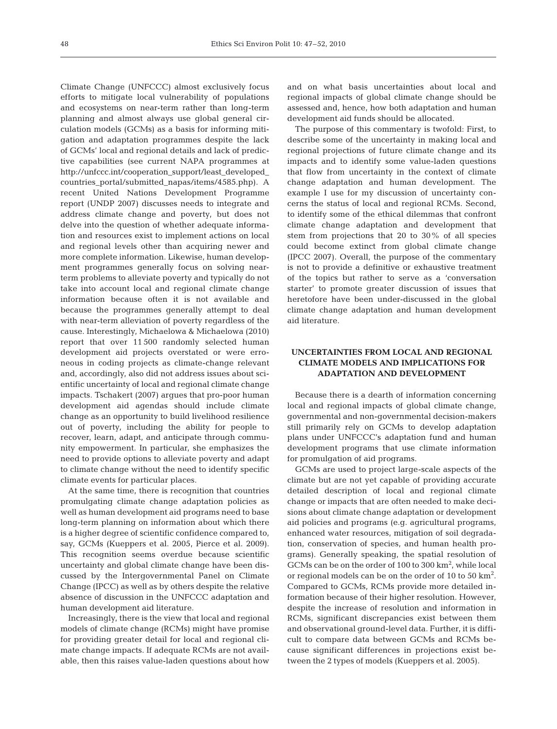Climate Change (UNFCCC) almost exclusively focus efforts to mitigate local vulnerability of populations and ecosystems on near-term rather than long-term planning and almost always use global general circulation models (GCMs) as a basis for informing mitigation and adaptation programmes despite the lack of GCMs' local and regional details and lack of predictive capabilities (see current NAPA programmes at http://unfccc.int/cooperation\_support/least\_developed\_ countries\_portal/submitted\_napas/items/4585.php). A recent United Nations Development Programme report (UNDP 2007) discusses needs to integrate and address climate change and poverty, but does not delve into the question of whether adequate information and resources exist to implement actions on local and regional levels other than acquiring newer and more complete information. Likewise, human development programmes generally focus on solving nearterm problems to alleviate poverty and typically do not take into account local and regional climate change information because often it is not available and because the programmes generally attempt to deal with near-term alleviation of poverty regardless of the cause. Interestingly, Michaelowa & Michaelowa (2010) report that over 11 500 randomly selected human development aid projects overstated or were erroneous in coding projects as climate-change relevant and, accordingly, also did not address issues about scientific uncertainty of local and regional climate change impacts. Tschakert (2007) argues that pro-poor human development aid agendas should include climate change as an opportunity to build livelihood resilience out of poverty, including the ability for people to recover, learn, adapt, and anticipate through community empowerment. In particular, she emphasizes the need to provide options to alleviate poverty and adapt to climate change without the need to identify specific climate events for particular places.

At the same time, there is recognition that countries promulgating climate change adaptation policies as well as human development aid programs need to base long-term planning on information about which there is a higher degree of scientific confidence compared to, say, GCMs (Kueppers et al. 2005, Pierce et al. 2009). This recognition seems overdue because scientific uncertainty and global climate change have been discussed by the Intergovernmental Panel on Climate Change (IPCC) as well as by others despite the relative absence of discussion in the UNFCCC adaptation and human development aid literature.

Increasingly, there is the view that local and regional models of climate change (RCMs) might have promise for providing greater detail for local and regional climate change impacts. If adequate RCMs are not available, then this raises value-laden questions about how

and on what basis uncertainties about local and regional impacts of global climate change should be assessed and, hence, how both adaptation and human development aid funds should be allocated.

The purpose of this commentary is twofold: First, to describe some of the uncertainty in making local and regional projections of future climate change and its impacts and to identify some value-laden questions that flow from uncertainty in the context of climate change adaptation and human development. The example I use for my discussion of uncertainty concerns the status of local and regional RCMs. Second, to identify some of the ethical dilemmas that confront climate change adaptation and development that stem from projections that 20 to 30% of all species could become extinct from global climate change (IPCC 2007). Overall, the purpose of the commentary is not to provide a definitive or exhaustive treatment of the topics but rather to serve as a 'conversation starter' to promote greater discussion of issues that heretofore have been under-discussed in the global climate change adaptation and human development aid literature.

#### **UNCERTAINTIES FROM LOCAL AND REGIONAL CLIMATE MODELS AND IMPLICATIONS FOR ADAPTATION AND DEVELOPMENT**

Because there is a dearth of information concerning local and regional impacts of global climate change, governmental and non-governmental decision-makers still primarily rely on GCMs to develop adaptation plans under UNFCCC's adaptation fund and human development programs that use climate information for promulgation of aid programs.

GCMs are used to project large-scale aspects of the climate but are not yet capable of providing accurate detailed description of local and regional climate change or impacts that are often needed to make decisions about climate change adaptation or development aid policies and programs (e.g. agricultural programs, enhanced water resources, mitigation of soil degradation, conservation of species, and human health programs). Generally speaking, the spatial resolution of GCMs can be on the order of  $100$  to  $300 \mathrm{km^2}$ , while local or regional models can be on the order of 10 to 50 km<sup>2</sup>. Compared to GCMs, RCMs provide more detailed information because of their higher resolution. However, despite the increase of resolution and information in RCMs, significant discrepancies exist between them and observational ground-level data. Further, it is difficult to compare data between GCMs and RCMs because significant differences in projections exist between the 2 types of models (Kueppers et al. 2005).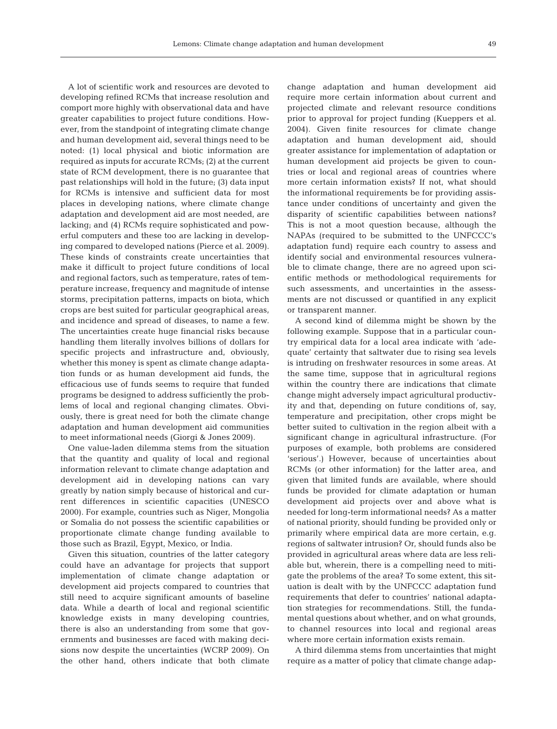A lot of scientific work and resources are devoted to developing refined RCMs that increase resolution and comport more highly with observational data and have greater capabilities to project future conditions. However, from the standpoint of integrating climate change and human development aid, several things need to be noted: (1) local physical and biotic information are required as inputs for accurate RCMs; (2) at the current state of RCM development, there is no guarantee that past relationships will hold in the future; (3) data input for RCMs is intensive and sufficient data for most places in developing nations, where climate change adaptation and development aid are most needed, are lacking; and (4) RCMs require sophisticated and powerful computers and these too are lacking in developing compared to developed nations (Pierce et al. 2009). These kinds of constraints create uncertainties that make it difficult to project future conditions of local and regional factors, such as temperature, rates of temperature increase, frequency and magnitude of intense storms, precipitation patterns, impacts on biota, which crops are best suited for particular geographical areas, and incidence and spread of diseases, to name a few. The uncertainties create huge financial risks because handling them literally involves billions of dollars for specific projects and infrastructure and, obviously, whether this money is spent as climate change adaptation funds or as human development aid funds, the efficacious use of funds seems to require that funded programs be designed to address sufficiently the problems of local and regional changing climates. Obviously, there is great need for both the climate change adaptation and human development aid communities to meet informational needs (Giorgi & Jones 2009).

One value-laden dilemma stems from the situation that the quantity and quality of local and regional information relevant to climate change adaptation and development aid in developing nations can vary greatly by nation simply because of historical and current differences in scientific capacities (UNESCO 2000). For example, countries such as Niger, Mongolia or Somalia do not possess the scientific capabilities or proportionate climate change funding available to those such as Brazil, Egypt, Mexico, or India.

Given this situation, countries of the latter category could have an advantage for projects that support implementation of climate change adaptation or development aid projects compared to countries that still need to acquire significant amounts of baseline data. While a dearth of local and regional scientific knowledge exists in many developing countries, there is also an understanding from some that governments and businesses are faced with making decisions now despite the uncertainties (WCRP 2009). On the other hand, others indicate that both climate change adaptation and human development aid require more certain information about current and projected climate and relevant resource conditions prior to approval for project funding (Kueppers et al. 2004). Given finite resources for climate change adaptation and human development aid, should greater assistance for implementation of adaptation or human development aid projects be given to countries or local and regional areas of countries where more certain information exists? If not, what should the informational requirements be for providing assistance under conditions of uncertainty and given the disparity of scientific capabilities between nations? This is not a moot question because, although the NAPAs (required to be submitted to the UNFCCC's adaptation fund) require each country to assess and identify social and environmental resources vulnerable to climate change, there are no agreed upon scientific methods or methodological requirements for such assessments, and uncertainties in the assessments are not discussed or quantified in any explicit or transparent manner.

A second kind of dilemma might be shown by the following example. Suppose that in a particular country empirical data for a local area indicate with 'adequate' certainty that saltwater due to rising sea levels is intruding on freshwater resources in some areas. At the same time, suppose that in agricultural regions within the country there are indications that climate change might adversely impact agricultural productivity and that, depending on future conditions of, say, temperature and precipitation, other crops might be better suited to cultivation in the region albeit with a significant change in agricultural infrastructure. (For purposes of example, both problems are considered 'serious'.) However, because of uncertainties about RCMs (or other information) for the latter area, and given that limited funds are available, where should funds be provided for climate adaptation or human development aid projects over and above what is needed for long-term informational needs? As a matter of national priority, should funding be provided only or primarily where empirical data are more certain, e.g. regions of saltwater intrusion? Or, should funds also be provided in agricultural areas where data are less reliable but, wherein, there is a compelling need to mitigate the problems of the area? To some extent, this situation is dealt with by the UNFCCC adaptation fund requirements that defer to countries' national adaptation strategies for recommendations. Still, the fundamental questions about whether, and on what grounds, to channel resources into local and regional areas where more certain information exists remain.

A third dilemma stems from uncertainties that might require as a matter of policy that climate change adap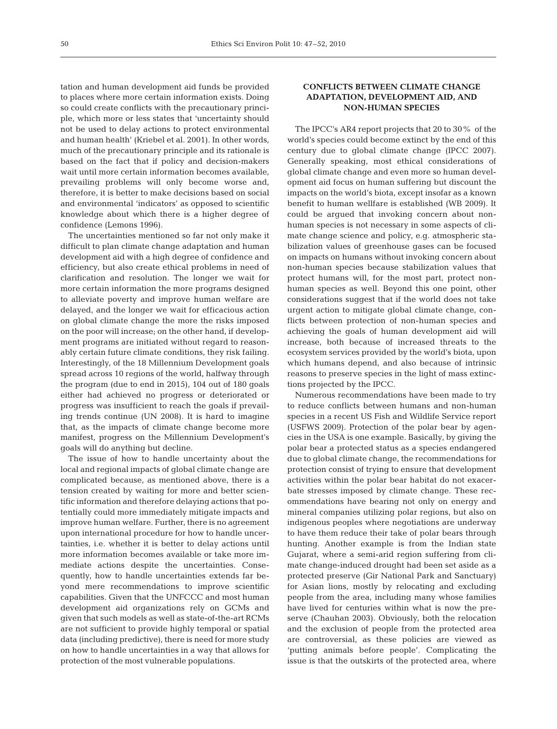tation and human development aid funds be provided to places where more certain information exists. Doing so could create conflicts with the precautionary principle, which more or less states that 'uncertainty should not be used to delay actions to protect environmental and human health' (Kriebel et al. 2001). In other words, much of the precautionary principle and its rationale is based on the fact that if policy and decision-makers wait until more certain information becomes available, prevailing problems will only become worse and, therefore, it is better to make decisions based on social and environmental 'indicators' as opposed to scientific knowledge about which there is a higher degree of confidence (Lemons 1996).

The uncertainties mentioned so far not only make it difficult to plan climate change adaptation and human development aid with a high degree of confidence and efficiency, but also create ethical problems in need of clarification and resolution. The longer we wait for more certain information the more programs designed to alleviate poverty and improve human welfare are delayed, and the longer we wait for efficacious action on global climate change the more the risks imposed on the poor will increase; on the other hand, if development programs are initiated without regard to reasonably certain future climate conditions, they risk failing. Interestingly, of the 18 Millennium Development goals spread across 10 regions of the world, halfway through the program (due to end in 2015), 104 out of 180 goals either had achieved no progress or deteriorated or progress was insufficient to reach the goals if prevailing trends continue (UN 2008). It is hard to imagine that, as the impacts of climate change become more manifest, progress on the Millennium Development's goals will do anything but decline.

The issue of how to handle uncertainty about the local and regional impacts of global climate change are complicated because, as mentioned above, there is a tension created by waiting for more and better scientific information and therefore delaying actions that potentially could more immediately mitigate impacts and improve human welfare. Further, there is no agreement upon international procedure for how to handle uncertainties, i.e. whether it is better to delay actions until more information becomes available or take more immediate actions despite the uncertainties. Consequently, how to handle uncertainties extends far beyond mere recommendations to improve scientific capabilities. Given that the UNFCCC and most human development aid organizations rely on GCMs and given that such models as well as state-of-the-art RCMs are not sufficient to provide highly temporal or spatial data (including predictive), there is need for more study on how to handle uncertainties in a way that allows for protection of the most vulnerable populations.

### **CONFLICTS BETWEEN CLIMATE CHANGE ADAPTATION, DEVELOPMENT AID, AND NON-HUMAN SPECIES**

The IPCC's AR4 report projects that 20 to 30% of the world's species could become extinct by the end of this century due to global climate change (IPCC 2007). Generally speaking, most ethical considerations of global climate change and even more so human development aid focus on human suffering but discount the impacts on the world's biota, except insofar as a known benefit to human wellfare is established (WB 2009). It could be argued that invoking concern about nonhuman species is not necessary in some aspects of climate change science and policy, e.g. atmospheric stabilization values of greenhouse gases can be focused on impacts on humans without invoking concern about non-human species because stabilization values that protect humans will, for the most part, protect nonhuman species as well. Beyond this one point, other considerations suggest that if the world does not take urgent action to mitigate global climate change, conflicts between protection of non-human species and achieving the goals of human development aid will increase, both because of increased threats to the ecosystem services provided by the world's biota, upon which humans depend, and also because of intrinsic reasons to preserve species in the light of mass extinctions projected by the IPCC.

Numerous recommendations have been made to try to reduce conflicts between humans and non-human species in a recent US Fish and Wildlife Service report (USFWS 2009). Protection of the polar bear by agencies in the USA is one example. Basically, by giving the polar bear a protected status as a species endangered due to global climate change, the recommendations for protection consist of trying to ensure that development activities within the polar bear habitat do not exacerbate stresses imposed by climate change. These recommendations have bearing not only on energy and mineral companies utilizing polar regions, but also on indigenous peoples where negotiations are underway to have them reduce their take of polar bears through hunting. Another example is from the Indian state Gujarat, where a semi-arid region suffering from climate change-induced drought had been set aside as a protected preserve (Gir National Park and Sanctuary) for Asian lions, mostly by relocating and excluding people from the area, including many whose families have lived for centuries within what is now the preserve (Chauhan 2003). Obviously, both the relocation and the exclusion of people from the protected area are controversial, as these policies are viewed as 'putting animals before people'. Complicating the issue is that the outskirts of the protected area, where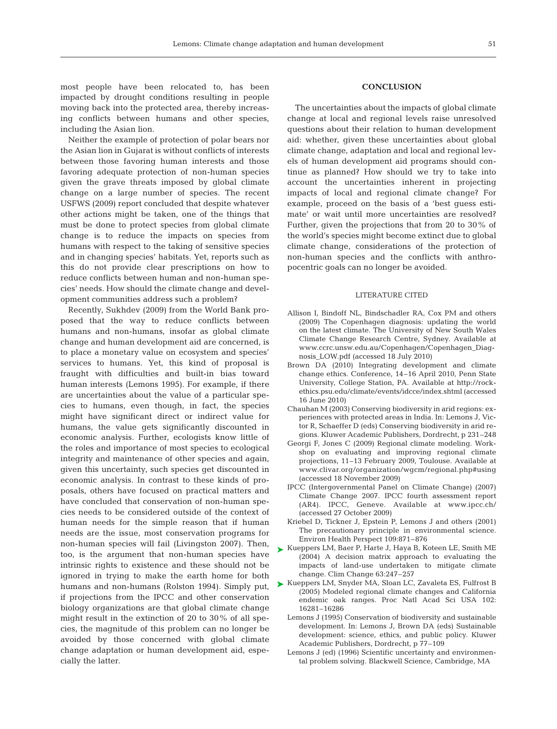most people have been relocated to, has been impacted by drought conditions resulting in people moving back into the protected area, thereby increasing conflicts between humans and other species, including the Asian lion.

Neither the example of protection of polar bears nor the Asian lion in Gujarat is without conflicts of interests between those favoring human interests and those favoring adequate protection of non-human species given the grave threats imposed by global climate change on a large number of species. The recent USFWS (2009) report concluded that despite whatever other actions might be taken, one of the things that must be done to protect species from global climate change is to reduce the impacts on species from humans with respect to the taking of sensitive species and in changing species' habitats. Yet, reports such as this do not provide clear prescriptions on how to reduce conflicts between human and non-human species' needs. How should the climate change and development communities address such a problem?

Recently, Sukhdev (2009) from the World Bank proposed that the way to reduce conflicts between humans and non-humans, insofar as global climate change and human development aid are concerned, is to place a monetary value on ecosystem and species' services to humans. Yet, this kind of proposal is fraught with difficulties and built-in bias toward human interests (Lemons 1995). For example, if there are uncertainties about the value of a particular species to humans, even though, in fact, the species might have significant direct or indirect value for humans, the value gets significantly discounted in economic analysis. Further, ecologists know little of the roles and importance of most species to ecological integrity and maintenance of other species and again, given this uncertainty, such species get discounted in economic analysis. In contrast to these kinds of proposals, others have focused on practical matters and have concluded that conservation of non-human species needs to be considered outside of the context of human needs for the simple reason that if human needs are the issue, most conservation programs for non-human species will fail (Livingston 2007). Then, too, is the argument that non-human species have intrinsic rights to existence and these should not be ignored in trying to make the earth home for both humans and non-humans (Rolston 1994). Simply put, if projections from the IPCC and other conservation biology organizations are that global climate change might result in the extinction of 20 to 30% of all species, the magnitude of this problem can no longer be avoided by those concerned with global climate change adaptation or human development aid, especially the latter.

#### **CONCLUSION**

The uncertainties about the impacts of global climate change at local and regional levels raise unresolved questions about their relation to human development aid: whether, given these uncertainties about global climate change, adaptation and local and regional levels of human development aid programs should continue as planned? How should we try to take into account the uncertainties inherent in projecting impacts of local and regional climate change? For example, proceed on the basis of a 'best guess estimate' or wait until more uncertainties are resolved? Further, given the projections that from 20 to 30% of the world's species might become extinct due to global climate change, considerations of the protection of non-human species and the conflicts with anthropocentric goals can no longer be avoided.

#### LITERATURE CITED

- Allison I, Bindoff NL, Bindschadler RA, Cox PM and others (2009) The Copenhagen diagnosis: updating the world on the latest climate. The University of New South Wales Climate Change Research Centre, Sydney. Available at www.ccrc.unsw.edu.au/Copenhagen/Copenhagen\_Diagnosis\_LOW.pdf (accessed 18 July 2010)
- Brown DA (2010) Integrating development and climate change ethics. Conference, 14–16 April 2010, Penn State University, College Station, PA. Available at http://rockethics.psu.edu/climate/events/idcce/index.shtml (accessed 16 June 2010)
- Chauhan M (2003) Conserving biodiversity in arid regions: experiences with protected areas in India. In: Lemons J, Victor R, Schaeffer D (eds) Conserving biodiversity in arid regions. Kluwer Academic Publishers, Dordrecht, p 231–248
- Georgi F, Jones C (2009) Regional climate modeling. Workshop on evaluating and improving regional climate projections, 11–13 February 2009, Toulouse. Available at www.clivar.org/organization/wgcm/regional.php#using (accessed 18 November 2009)
- IPCC (Intergovernmental Panel on Climate Change) (2007) Climate Change 2007. IPCC fourth assessment report (AR4). IPCC, Geneve. Available at www.ipcc.ch/ (accessed 27 October 2009)
- Kriebel D, Tickner J, Epstein P, Lemons J and others (2001) The precautionary principle in environmental science. Environ Health Perspect 109:871–876
- ► Kueppers LM, Baer P, Harte J, Haya B, Koteen LE, Smith ME (2004) A decision matrix approach to evaluating the impacts of land-use undertaken to mitigate climate change. Clim Change 63:247–257
- ► Kueppers LM, Snyder MA, Sloan LC, Zavaleta ES, Fulfrost B (2005) Modeled regional climate changes and California endemic oak ranges. Proc Natl Acad Sci USA 102: 16281–16286
	- Lemons J (1995) Conservation of biodiversity and sustainable development. In: Lemons J, Brown DA (eds) Sustainable development: science, ethics, and public policy. Kluwer Academic Publishers, Dordrecht, p 77–109
	- Lemons J (ed) (1996) Scientific uncertainty and environmental problem solving. Blackwell Science, Cambridge, MA